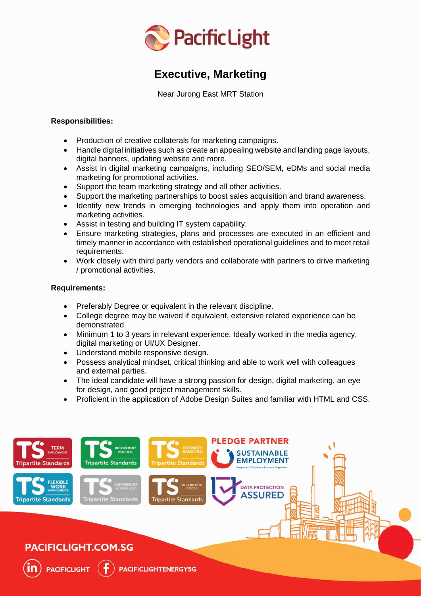

# **Executive, Marketing**

Near Jurong East MRT Station

## **Responsibilities:**

- Production of creative collaterals for marketing campaigns.
- Handle digital initiatives such as create an appealing website and landing page layouts, digital banners, updating website and more.
- Assist in digital marketing campaigns, including SEO/SEM, eDMs and social media marketing for promotional activities.
- Support the team marketing strategy and all other activities.
- Support the marketing partnerships to boost sales acquisition and brand awareness.
- Identify new trends in emerging technologies and apply them into operation and marketing activities.
- Assist in testing and building IT system capability.
- Ensure marketing strategies, plans and processes are executed in an efficient and timely manner in accordance with established operational guidelines and to meet retail requirements.
- Work closely with third party vendors and collaborate with partners to drive marketing / promotional activities.

# **Requirements:**

- Preferably Degree or equivalent in the relevant discipline.
- College degree may be waived if equivalent, extensive related experience can be demonstrated.
- Minimum 1 to 3 years in relevant experience. Ideally worked in the media agency, digital marketing or UI/UX Designer.
- Understand mobile responsive design.
- Possess analytical mindset, critical thinking and able to work well with colleagues and external parties.
- The ideal candidate will have a strong passion for design, digital marketing, an eye for design, and good project management skills.
- Proficient in the application of Adobe Design Suites and familiar with HTML and CSS.